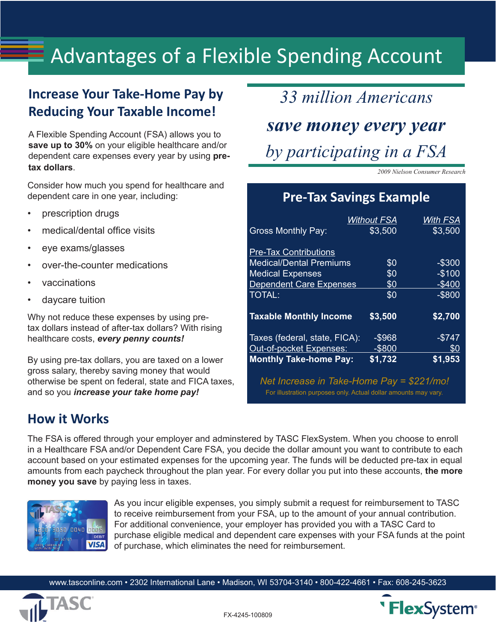# Advantages of a Flexible Spending Account

## **Increase Your Take-Home Pay by Reducing Your Taxable Income!**

A Flexible Spending Account (FSA) allows you to **save up to 30%** on your eligible healthcare and/or dependent care expenses every year by using **pretax dollars**.

Consider how much you spend for healthcare and dependent care in one year, including:

- prescription drugs
- medical/dental office visits
- eye exams/glasses
- over-the-counter medications
- vaccinations
- daycare tuition

Why not reduce these expenses by using pretax dollars instead of after-tax dollars? With rising healthcare costs, *every penny counts!*

By using pre-tax dollars, you are taxed on a lower gross salary, thereby saving money that would otherwise be spent on federal, state and FICA taxes, and so you *increase your take home pay!* 

*33 million Americans save money every year by participating in a FSA*

*2009 Nielson Consumer Research*

## **Pre-Tax Savings Example**

|                                | Without FSA | With FSA  |
|--------------------------------|-------------|-----------|
| <b>Gross Monthly Pay:</b>      | \$3,500     | \$3,500   |
| <b>Pre-Tax Contributions</b>   |             |           |
| <b>Medical/Dental Premiums</b> | \$0         | -\$300    |
| <b>Medical Expenses</b>        | \$0         | $-$100$   |
| <b>Dependent Care Expenses</b> | \$0         | $-$400$   |
| <b>TOTAL:</b>                  | \$0         | $-$ \$800 |
| <b>Taxable Monthly Income</b>  | \$3,500     | \$2,700   |
| Taxes (federal, state, FICA):  | $-$ \$968   | $-$ \$747 |
| Out-of-pocket Expenses:        | $-$ \$800   | \$0       |
| <b>Monthly Take-home Pay:</b>  | \$1,732     | \$1,953   |

*Net Increase in Take-Home Pay = \$221/mo!* For illustration purposes only. Actual dollar amounts may vary.

## **How it Works**

The FSA is offered through your employer and adminstered by TASC FlexSystem. When you choose to enroll in a Healthcare FSA and/or Dependent Care FSA, you decide the dollar amount you want to contribute to each account based on your estimated expenses for the upcoming year. The funds will be deducted pre-tax in equal amounts from each paycheck throughout the plan year. For every dollar you put into these accounts, **the more money you save** by paying less in taxes.



As you incur eligible expenses, you simply submit a request for reimbursement to TASC to receive reimbursement from your FSA, up to the amount of your annual contribution. For additional convenience, your employer has provided you with a TASC Card to purchase eligible medical and dependent care expenses with your FSA funds at the point of purchase, which eliminates the need for reimbursement.

www.tasconline.com • 2302 International Lane • Madison, WI 53704-3140 • 800-422-4661 • Fax: 608-245-3623